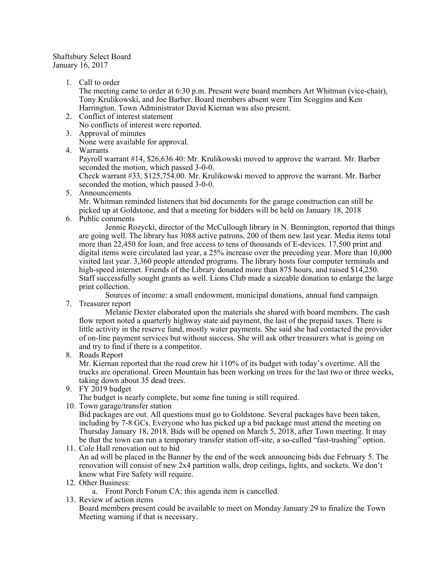## Shaftsbury Select Board January 16, 2017

1. Call to order

The meeting came to order at 6:30 p.m. Present were board members Art Whitman (vice-chair), Tony Krulikowski, and Joe Barber. Board members absent were Tim Scoggins and Ken Harrington. Town Administrator David Kiernan was also present.

- 2. Conflict of interest statement No conflicts of interest were reported.
- 3. Approval of minutes
	- None were available for approval.
- 4. Warrants

Payroll warrant #14, \$26,636.40: Mr. Krulikowski moved to approve the warrant. Mr. Barber seconded the motion, which passed 3-0-0.

Check warrant #33, \$125,754.00. Mr. Krulikowski moved to approve the warrant. Mr. Barber seconded the motion, which passed 3-0-0.

5. Announcements

Mr. Whitman reminded listeners that bid documents for the garage construction can still be picked up at Goldstone, and that a meeting for bidders will be held on January 18, 2018

6. Public comments

Jennie Rozycki, director of the McCullough library in N. Bennington, reported that things are going well. The library has 3088 active patrons, 200 of them new last year. Media items total more than 22,450 for loan, and free access to tens of thousands of E-devices. 17,500 print and digital items were circulated last year, a 25% increase over the preceding year. More than 10,000 visited last year. 3,360 people attended programs. The library hosts four computer terminals and high-speed internet. Friends of the Library donated more than 875 hours, and raised \$14,250. Staff successfully sought grants as well. Lions Club made a sizeable donation to enlarge the large print collection.

Sources of income: a small endowment, municipal donations, annual fund campaign.

7. Treasurer report

Melanie Dexter elaborated upon the materials she shared with board members. The cash flow report noted a quarterly highway state aid payment, the last of the prepaid taxes. There is little activity in the reserve fund, mostly water payments. She said she had contacted the provider of on-line payment services but without success. She will ask other treasurers what is going on and try to find if there is a competitor.

8. Roads Report

Mr. Kiernan reported that the road crew hit 110% of its budget with today's overtime. All the trucks are operational. Green Mountain has been working on trees for the last two or three weeks, taking down about 35 dead trees.

9. FY 2019 budget

The budget is nearly complete, but some fine tuning is still required.

10. Town garage/transfer station

Bid packages are out. All questions must go to Goldstone. Several packages have been taken, including by 7-8 GCs. Everyone who has picked up a bid package must attend the meeting on Thursday January 18, 2018. Bids will be opened on March 5, 2018, after Town meeting. It may be that the town can run a temporary transfer station off-site, a so-called "fast-trashing" option.

11. Cole Hall renovation out to bid An ad will be placed in the Banner by the end of the week announcing bids due February 5. The renovation will consist of new 2x4 partition walls, drop ceilings, lights, and sockets. We don't know what Fire Safety will require.

12. Other Business:

a. Front Porch Forum CA: this agenda item is cancelled.

13. Review of action items

Board members present could be available to meet on Monday January 29 to finalize the Town Meeting warning if that is necessary.